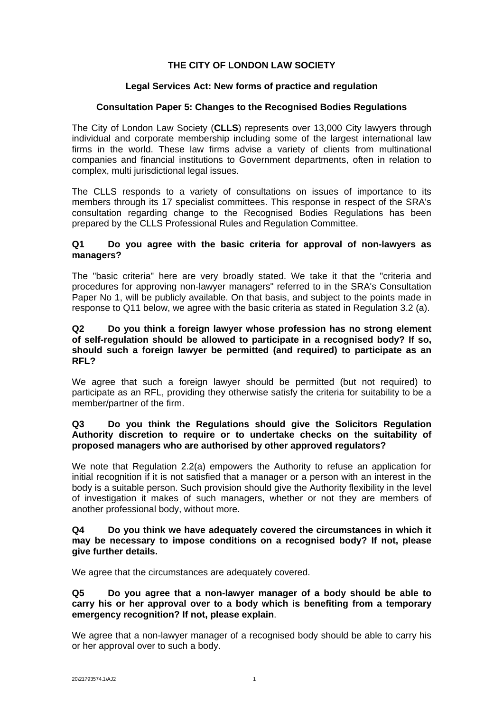# **THE CITY OF LONDON LAW SOCIETY**

## **Legal Services Act: New forms of practice and regulation**

## **Consultation Paper 5: Changes to the Recognised Bodies Regulations**

The City of London Law Society (**CLLS**) represents over 13,000 City lawyers through individual and corporate membership including some of the largest international law firms in the world. These law firms advise a variety of clients from multinational companies and financial institutions to Government departments, often in relation to complex, multi jurisdictional legal issues.

The CLLS responds to a variety of consultations on issues of importance to its members through its 17 specialist committees. This response in respect of the SRA's consultation regarding change to the Recognised Bodies Regulations has been prepared by the CLLS Professional Rules and Regulation Committee.

#### **Q1 Do you agree with the basic criteria for approval of non-lawyers as managers?**

The "basic criteria" here are very broadly stated. We take it that the "criteria and procedures for approving non-lawyer managers" referred to in the SRA's Consultation Paper No 1, will be publicly available. On that basis, and subject to the points made in response to Q11 below, we agree with the basic criteria as stated in Regulation 3.2 (a).

#### **Q2 Do you think a foreign lawyer whose profession has no strong element of self-regulation should be allowed to participate in a recognised body? If so, should such a foreign lawyer be permitted (and required) to participate as an RFL?**

We agree that such a foreign lawyer should be permitted (but not required) to participate as an RFL, providing they otherwise satisfy the criteria for suitability to be a member/partner of the firm.

## **Q3 Do you think the Regulations should give the Solicitors Regulation Authority discretion to require or to undertake checks on the suitability of proposed managers who are authorised by other approved regulators?**

We note that Regulation 2.2(a) empowers the Authority to refuse an application for initial recognition if it is not satisfied that a manager or a person with an interest in the body is a suitable person. Such provision should give the Authority flexibility in the level of investigation it makes of such managers, whether or not they are members of another professional body, without more.

#### **Q4 Do you think we have adequately covered the circumstances in which it may be necessary to impose conditions on a recognised body? If not, please give further details.**

We agree that the circumstances are adequately covered.

#### **Q5 Do you agree that a non-lawyer manager of a body should be able to carry his or her approval over to a body which is benefiting from a temporary emergency recognition? If not, please explain**.

We agree that a non-lawyer manager of a recognised body should be able to carry his or her approval over to such a body.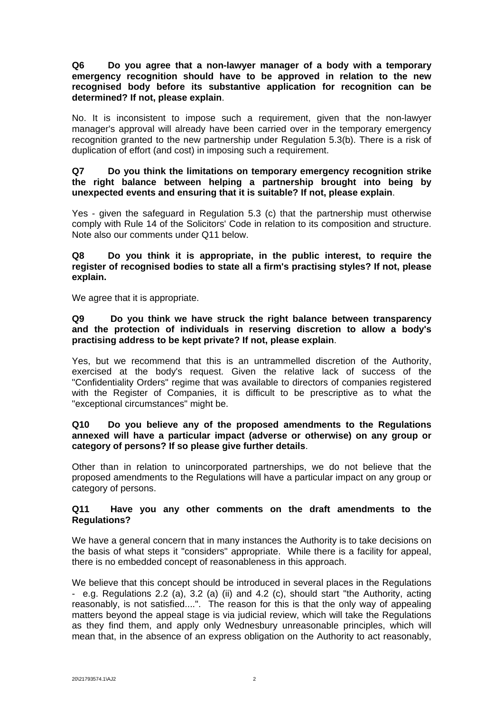**Q6 Do you agree that a non-lawyer manager of a body with a temporary emergency recognition should have to be approved in relation to the new recognised body before its substantive application for recognition can be determined? If not, please explain**.

No. It is inconsistent to impose such a requirement, given that the non-lawyer manager's approval will already have been carried over in the temporary emergency recognition granted to the new partnership under Regulation 5.3(b). There is a risk of duplication of effort (and cost) in imposing such a requirement.

## **Q7 Do you think the limitations on temporary emergency recognition strike the right balance between helping a partnership brought into being by unexpected events and ensuring that it is suitable? If not, please explain**.

Yes - given the safeguard in Regulation 5.3 (c) that the partnership must otherwise comply with Rule 14 of the Solicitors' Code in relation to its composition and structure. Note also our comments under Q11 below.

**Q8 Do you think it is appropriate, in the public interest, to require the register of recognised bodies to state all a firm's practising styles? If not, please explain.** 

We agree that it is appropriate.

## **Q9 Do you think we have struck the right balance between transparency and the protection of individuals in reserving discretion to allow a body's practising address to be kept private? If not, please explain**.

Yes, but we recommend that this is an untrammelled discretion of the Authority, exercised at the body's request. Given the relative lack of success of the "Confidentiality Orders" regime that was available to directors of companies registered with the Register of Companies, it is difficult to be prescriptive as to what the "exceptional circumstances" might be.

## **Q10 Do you believe any of the proposed amendments to the Regulations annexed will have a particular impact (adverse or otherwise) on any group or category of persons? If so please give further details**.

Other than in relation to unincorporated partnerships, we do not believe that the proposed amendments to the Regulations will have a particular impact on any group or category of persons.

## **Q11 Have you any other comments on the draft amendments to the Regulations?**

We have a general concern that in many instances the Authority is to take decisions on the basis of what steps it "considers" appropriate. While there is a facility for appeal, there is no embedded concept of reasonableness in this approach.

We believe that this concept should be introduced in several places in the Regulations - e.g. Regulations 2.2 (a), 3.2 (a) (ii) and 4.2 (c), should start "the Authority, acting reasonably, is not satisfied....". The reason for this is that the only way of appealing matters beyond the appeal stage is via judicial review, which will take the Regulations as they find them, and apply only Wednesbury unreasonable principles, which will mean that, in the absence of an express obligation on the Authority to act reasonably,